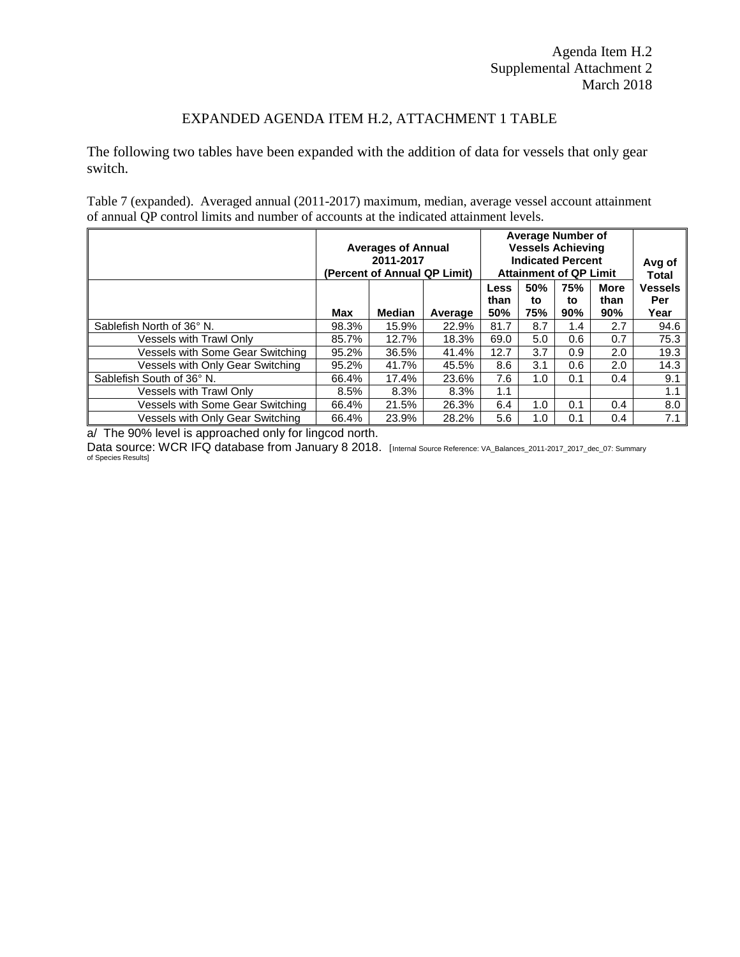## EXPANDED AGENDA ITEM H.2, ATTACHMENT 1 TABLE

The following two tables have been expanded with the addition of data for vessels that only gear switch.

Table 7 (expanded). Averaged annual (2011-2017) maximum, median, average vessel account attainment of annual QP control limits and number of accounts at the indicated attainment levels.

|                                  | <b>Averages of Annual</b><br>(Percent of Annual QP Limit) | <b>Average Number of</b><br><b>Vessels Achieving</b><br><b>Indicated Percent</b><br><b>Attainment of QP Limit</b> |         |                            |                  | Avg of<br><b>Total</b> |                            |                               |
|----------------------------------|-----------------------------------------------------------|-------------------------------------------------------------------------------------------------------------------|---------|----------------------------|------------------|------------------------|----------------------------|-------------------------------|
|                                  | Max                                                       | <b>Median</b>                                                                                                     | Average | <b>Less</b><br>than<br>50% | 50%<br>to<br>75% | 75%<br>to<br>90%       | <b>More</b><br>than<br>90% | <b>Vessels</b><br>Per<br>Year |
| Sablefish North of 36° N.        | 98.3%                                                     | 15.9%                                                                                                             | 22.9%   | 81.7                       | 8.7              | 1.4                    | 2.7                        | 94.6                          |
| Vessels with Trawl Only          | 85.7%                                                     | 12.7%                                                                                                             | 18.3%   | 69.0                       | 5.0              | 0.6                    | 0.7                        | 75.3                          |
| Vessels with Some Gear Switching | 95.2%                                                     | 36.5%                                                                                                             | 41.4%   | 12.7                       | 3.7              | 0.9                    | 2.0                        | 19.3                          |
| Vessels with Only Gear Switching | 95.2%                                                     | 41.7%                                                                                                             | 45.5%   | 8.6                        | 3.1              | 0.6                    | 2.0                        | 14.3                          |
| Sablefish South of 36° N.        | 66.4%                                                     | 17.4%                                                                                                             | 23.6%   | 7.6                        | 1.0              | 0.1                    | 0.4                        | 9.1                           |
| <b>Vessels with Trawl Only</b>   | 8.5%                                                      | 8.3%                                                                                                              | 8.3%    | 1.1                        |                  |                        |                            | 1.1                           |
| Vessels with Some Gear Switching | 66.4%                                                     | 21.5%                                                                                                             | 26.3%   | 6.4                        | 1.0              | 0.1                    | 0.4                        | 8.0                           |
| Vessels with Only Gear Switching | 66.4%                                                     | 23.9%                                                                                                             | 28.2%   | 5.6                        | 1.0              | 0.1                    | 0.4                        | 7.1                           |

a/ The 90% level is approached only for lingcod north.

Data source: WCR IFQ database from January 8 2018. [Internal Source Reference: VA\_Balances\_2011-2017\_2017\_dec\_07: Summary of Species Results]